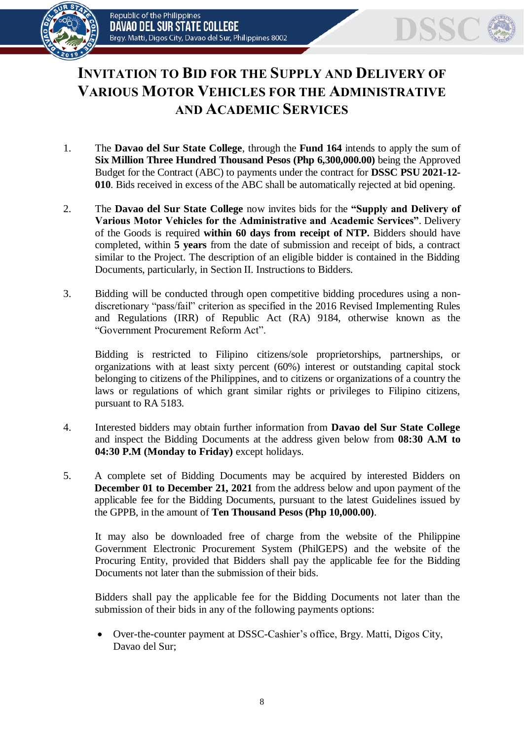



## **INVITATION TO BID FOR THE SUPPLY AND DELIVERY OF VARIOUS MOTOR VEHICLES FOR THE ADMINISTRATIVE AND ACADEMIC SERVICES**

- 1. The **Davao del Sur State College**, through the **Fund 164** intends to apply the sum of **Six Million Three Hundred Thousand Pesos (Php 6,300,000.00)** being the Approved Budget for the Contract (ABC) to payments under the contract for **DSSC PSU 2021-12- 010**. Bids received in excess of the ABC shall be automatically rejected at bid opening.
- 2. The **Davao del Sur State College** now invites bids for the **"Supply and Delivery of Various Motor Vehicles for the Administrative and Academic Services"**. Delivery of the Goods is required **within 60 days from receipt of NTP.** Bidders should have completed, within **5 years** from the date of submission and receipt of bids, a contract similar to the Project. The description of an eligible bidder is contained in the Bidding Documents, particularly, in Section II. Instructions to Bidders.
- 3. Bidding will be conducted through open competitive bidding procedures using a nondiscretionary "pass/fail" criterion as specified in the 2016 Revised Implementing Rules and Regulations (IRR) of Republic Act (RA) 9184, otherwise known as the "Government Procurement Reform Act".

Bidding is restricted to Filipino citizens/sole proprietorships, partnerships, or organizations with at least sixty percent (60%) interest or outstanding capital stock belonging to citizens of the Philippines, and to citizens or organizations of a country the laws or regulations of which grant similar rights or privileges to Filipino citizens, pursuant to RA 5183.

- 4. Interested bidders may obtain further information from **Davao del Sur State College** and inspect the Bidding Documents at the address given below from **08:30 A.M to 04:30 P.M (Monday to Friday)** except holidays.
- 5. A complete set of Bidding Documents may be acquired by interested Bidders on **December 01 to December 21, 2021** from the address below and upon payment of the applicable fee for the Bidding Documents, pursuant to the latest Guidelines issued by the GPPB, in the amount of **Ten Thousand Pesos (Php 10,000.00)**.

It may also be downloaded free of charge from the website of the Philippine Government Electronic Procurement System (PhilGEPS) and the website of the Procuring Entity*,* provided that Bidders shall pay the applicable fee for the Bidding Documents not later than the submission of their bids.

Bidders shall pay the applicable fee for the Bidding Documents not later than the submission of their bids in any of the following payments options:

 Over-the-counter payment at DSSC-Cashier's office, Brgy. Matti, Digos City, Davao del Sur;